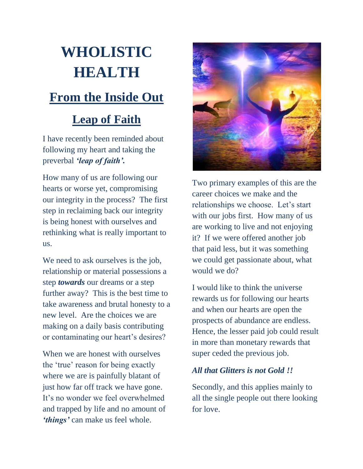# **WHOLISTIC HEALTH**

## **From the Inside Out**

### **Leap of Faith**

I have recently been reminded about following my heart and taking the preverbal *'leap of faith'.*

How many of us are following our hearts or worse yet, compromising our integrity in the process? The first step in reclaiming back our integrity is being honest with ourselves and rethinking what is really important to us.

We need to ask ourselves is the job, relationship or material possessions a step *towards* our dreams or a step further away? This is the best time to take awareness and brutal honesty to a new level. Are the choices we are making on a daily basis contributing or contaminating our heart's desires?

When we are honest with ourselves the "true" reason for being exactly where we are is painfully blatant of just how far off track we have gone. It's no wonder we feel overwhelmed and trapped by life and no amount of *'things'* can make us feel whole.



Two primary examples of this are the career choices we make and the relationships we choose. Let's start with our jobs first. How many of us are working to live and not enjoying it? If we were offered another job that paid less, but it was something we could get passionate about, what would we do?

I would like to think the universe rewards us for following our hearts and when our hearts are open the prospects of abundance are endless. Hence, the lesser paid job could result in more than monetary rewards that super ceded the previous job.

#### *All that Glitters is not Gold !!*

Secondly, and this applies mainly to all the single people out there looking for love.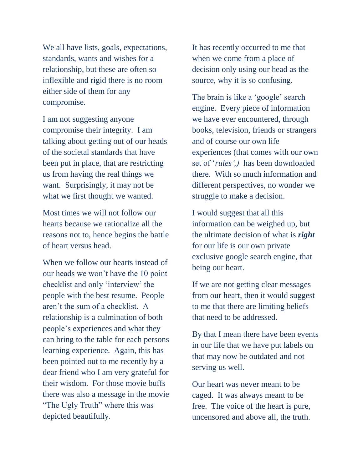We all have lists, goals, expectations, standards, wants and wishes for a relationship, but these are often so inflexible and rigid there is no room either side of them for any compromise.

I am not suggesting anyone compromise their integrity. I am talking about getting out of our heads of the societal standards that have been put in place, that are restricting us from having the real things we want. Surprisingly, it may not be what we first thought we wanted.

Most times we will not follow our hearts because we rationalize all the reasons not to, hence begins the battle of heart versus head.

When we follow our hearts instead of our heads we won"t have the 10 point checklist and only "interview" the people with the best resume. People aren"t the sum of a checklist. A relationship is a culmination of both people"s experiences and what they can bring to the table for each persons learning experience. Again, this has been pointed out to me recently by a dear friend who I am very grateful for their wisdom. For those movie buffs there was also a message in the movie "The Ugly Truth" where this was depicted beautifully.

It has recently occurred to me that when we come from a place of decision only using our head as the source, why it is so confusing.

The brain is like a 'google' search engine. Every piece of information we have ever encountered, through books, television, friends or strangers and of course our own life experiences (that comes with our own set of "*rules',)* has been downloaded there. With so much information and different perspectives, no wonder we struggle to make a decision.

I would suggest that all this information can be weighed up, but the ultimate decision of what is *right* for our life is our own private exclusive google search engine, that being our heart.

If we are not getting clear messages from our heart, then it would suggest to me that there are limiting beliefs that need to be addressed.

By that I mean there have been events in our life that we have put labels on that may now be outdated and not serving us well.

Our heart was never meant to be caged. It was always meant to be free. The voice of the heart is pure, uncensored and above all, the truth.